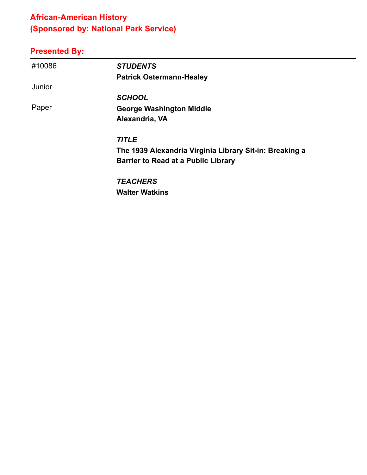# **African-American History (Sponsored by: National Park Service)**

#### **Presented By:**

| #10086 | <b>STUDENTS</b>                                         |
|--------|---------------------------------------------------------|
|        | <b>Patrick Ostermann-Healey</b>                         |
| Junior |                                                         |
|        | <b>SCHOOL</b>                                           |
| Paper  | <b>George Washington Middle</b>                         |
|        | Alexandria, VA                                          |
|        | <b>TITLE</b>                                            |
|        | The 1939 Alexandria Virginia Library Sit-in: Breaking a |
|        | <b>Barrier to Read at a Public Library</b>              |
|        | <b>TEACHERS</b>                                         |
|        |                                                         |

**Walter Watkins**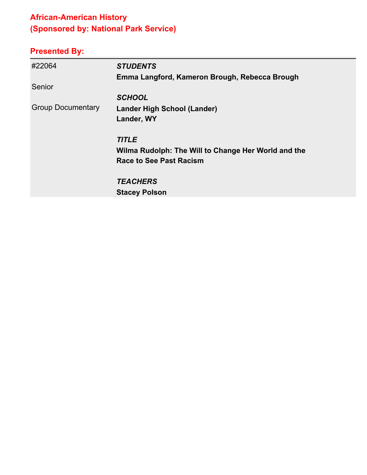# **African-American History (Sponsored by: National Park Service)**

| #22064                   | <b>STUDENTS</b>                                     |
|--------------------------|-----------------------------------------------------|
|                          | Emma Langford, Kameron Brough, Rebecca Brough       |
| Senior                   |                                                     |
|                          | <b>SCHOOL</b>                                       |
| <b>Group Documentary</b> | Lander High School (Lander)                         |
|                          | Lander, WY                                          |
|                          | <b>TITLE</b>                                        |
|                          | Wilma Rudolph: The Will to Change Her World and the |
|                          | <b>Race to See Past Racism</b>                      |
|                          | <b>TEACHERS</b>                                     |
|                          | <b>Stacey Polson</b>                                |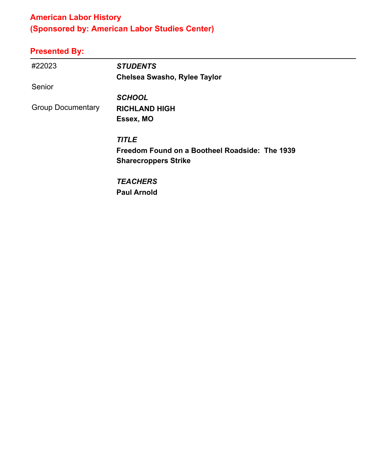# **American Labor History (Sponsored by: American Labor Studies Center)**

| #22023                   | <b>STUDENTS</b>                                |
|--------------------------|------------------------------------------------|
|                          | <b>Chelsea Swasho, Rylee Taylor</b>            |
| Senior                   |                                                |
|                          | <b>SCHOOL</b>                                  |
| <b>Group Documentary</b> | <b>RICHLAND HIGH</b>                           |
|                          | Essex, MO                                      |
|                          | <b>TITLE</b>                                   |
|                          | Freedom Found on a Bootheel Roadside: The 1939 |
|                          | <b>Sharecroppers Strike</b>                    |
|                          | <b>TEACHERS</b>                                |
|                          | <b>Paul Arnold</b>                             |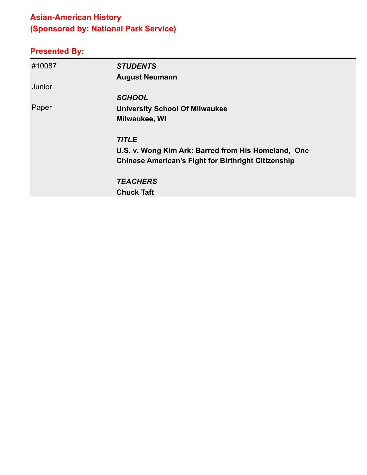# **Asian-American History (Sponsored by: National Park Service)**

| #10087 | <b>STUDENTS</b>                                            |
|--------|------------------------------------------------------------|
|        | <b>August Neumann</b>                                      |
| Junior |                                                            |
|        | <b>SCHOOL</b>                                              |
| Paper  | <b>University School Of Milwaukee</b>                      |
|        | Milwaukee, WI                                              |
|        | <b>TITLE</b>                                               |
|        | U.S. v. Wong Kim Ark: Barred from His Homeland, One        |
|        | <b>Chinese American's Fight for Birthright Citizenship</b> |
|        | <b>TEACHERS</b>                                            |
|        | <b>Chuck Taft</b>                                          |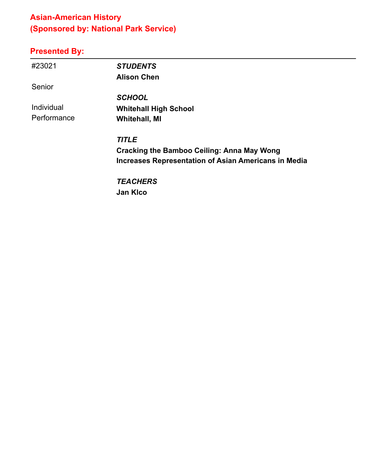# **Asian-American History (Sponsored by: National Park Service)**

| #23021      | <b>STUDENTS</b>                                             |
|-------------|-------------------------------------------------------------|
|             | <b>Alison Chen</b>                                          |
| Senior      |                                                             |
|             | <b>SCHOOL</b>                                               |
| Individual  | <b>Whitehall High School</b>                                |
| Performance | <b>Whitehall, MI</b>                                        |
|             | <b>TITLE</b>                                                |
|             | <b>Cracking the Bamboo Ceiling: Anna May Wong</b>           |
|             | <b>Increases Representation of Asian Americans in Media</b> |
|             | <b>TEACHERS</b>                                             |
|             | <b>Jan Kico</b>                                             |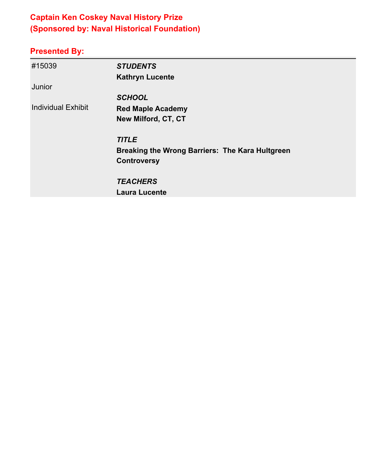# **Captain Ken Coskey Naval History Prize (Sponsored by: Naval Historical Foundation)**

| #15039                    | <b>STUDENTS</b>                                 |
|---------------------------|-------------------------------------------------|
|                           | <b>Kathryn Lucente</b>                          |
| Junior                    |                                                 |
|                           | <b>SCHOOL</b>                                   |
| <b>Individual Exhibit</b> | <b>Red Maple Academy</b>                        |
|                           | New Milford, CT, CT                             |
|                           | <b>TITLE</b>                                    |
|                           | Breaking the Wrong Barriers: The Kara Hultgreen |
|                           | <b>Controversy</b>                              |
|                           | <b>TEACHERS</b>                                 |
|                           | <b>Laura Lucente</b>                            |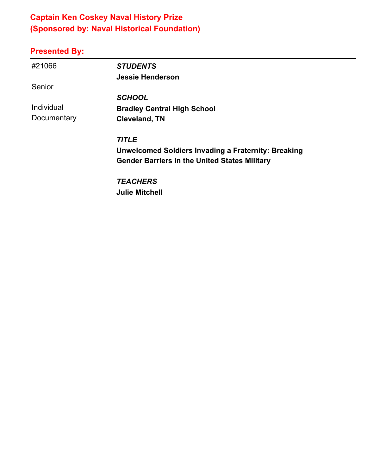## **Captain Ken Coskey Naval History Prize (Sponsored by: Naval Historical Foundation)**

#### **Presented By:**

| #21066      | <b>STUDENTS</b>                                            |
|-------------|------------------------------------------------------------|
|             | <b>Jessie Henderson</b>                                    |
| Senior      |                                                            |
|             | <b>SCHOOL</b>                                              |
| Individual  | <b>Bradley Central High School</b>                         |
| Documentary | <b>Cleveland, TN</b>                                       |
|             |                                                            |
|             | <b>TITLE</b>                                               |
|             | <b>Unwelcomed Soldiers Invading a Fraternity: Breaking</b> |
|             | <b>Gender Barriers in the United States Military</b>       |
|             | <b>TEACHERS</b>                                            |

**Julie Mitchell**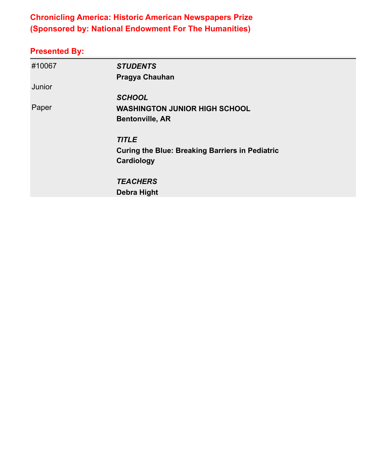## **Chronicling America: Historic American Newspapers Prize (Sponsored by: National Endowment For The Humanities)**

| #10067 | <b>STUDENTS</b>                                        |
|--------|--------------------------------------------------------|
|        | <b>Pragya Chauhan</b>                                  |
| Junior |                                                        |
|        | <b>SCHOOL</b>                                          |
| Paper  | <b>WASHINGTON JUNIOR HIGH SCHOOL</b>                   |
|        | <b>Bentonville, AR</b>                                 |
|        | <b>TITLE</b>                                           |
|        | <b>Curing the Blue: Breaking Barriers in Pediatric</b> |
|        | Cardiology                                             |
|        | <b>TEACHERS</b>                                        |
|        | <b>Debra Hight</b>                                     |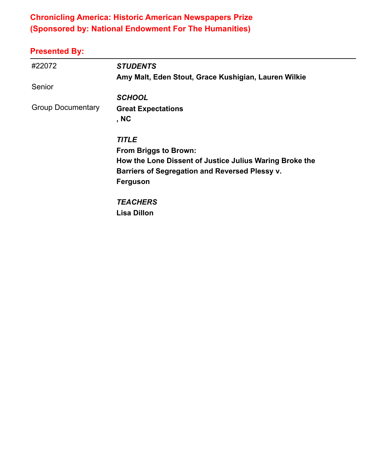## **Chronicling America: Historic American Newspapers Prize (Sponsored by: National Endowment For The Humanities)**

| #22072                   | <b>STUDENTS</b>                                         |
|--------------------------|---------------------------------------------------------|
|                          | Amy Malt, Eden Stout, Grace Kushigian, Lauren Wilkie    |
| Senior                   |                                                         |
|                          | <b>SCHOOL</b>                                           |
| <b>Group Documentary</b> | <b>Great Expectations</b>                               |
|                          | , NC                                                    |
|                          | <b>TITLE</b>                                            |
|                          | <b>From Briggs to Brown:</b>                            |
|                          | How the Lone Dissent of Justice Julius Waring Broke the |
|                          | Barriers of Segregation and Reversed Plessy v.          |
|                          | <b>Ferguson</b>                                         |
|                          | <b>TEACHERS</b>                                         |
|                          | <b>Lisa Dillon</b>                                      |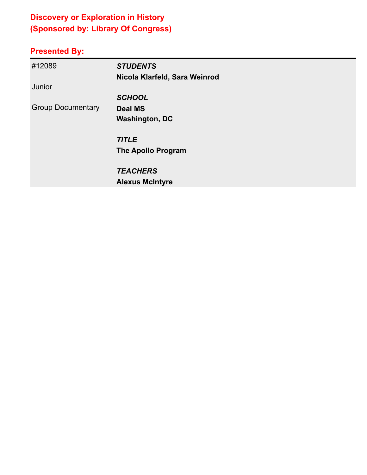# **Discovery or Exploration in History (Sponsored by: Library Of Congress)**

| #12089                   | <b>STUDENTS</b>               |
|--------------------------|-------------------------------|
| Junior                   | Nicola Klarfeld, Sara Weinrod |
|                          | <b>SCHOOL</b>                 |
| <b>Group Documentary</b> | <b>Deal MS</b>                |
|                          | <b>Washington, DC</b>         |
|                          | <b>TITLE</b>                  |
|                          | <b>The Apollo Program</b>     |
|                          | <b>TEACHERS</b>               |
|                          | <b>Alexus McIntyre</b>        |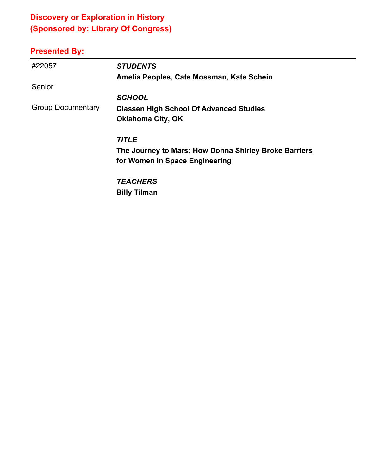# **Discovery or Exploration in History (Sponsored by: Library Of Congress)**

| #22057                   | <b>STUDENTS</b>                                       |
|--------------------------|-------------------------------------------------------|
|                          | Amelia Peoples, Cate Mossman, Kate Schein             |
| Senior                   |                                                       |
|                          | <b>SCHOOL</b>                                         |
| <b>Group Documentary</b> | <b>Classen High School Of Advanced Studies</b>        |
|                          | <b>Oklahoma City, OK</b>                              |
|                          | <b>TITLE</b>                                          |
|                          | The Journey to Mars: How Donna Shirley Broke Barriers |
|                          | for Women in Space Engineering                        |
|                          | <b>TEACHERS</b>                                       |
|                          | <b>Billy Tilman</b>                                   |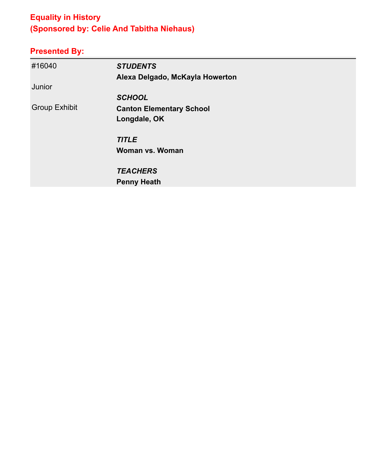# **Equality in History (Sponsored by: Celie And Tabitha Niehaus)**

| #16040               | <b>STUDENTS</b>                 |
|----------------------|---------------------------------|
|                      | Alexa Delgado, McKayla Howerton |
| Junior               |                                 |
|                      | <b>SCHOOL</b>                   |
| <b>Group Exhibit</b> | <b>Canton Elementary School</b> |
|                      | Longdale, OK                    |
|                      | <b>TITLE</b>                    |
|                      | <b>Woman vs. Woman</b>          |
|                      | <b>TEACHERS</b>                 |
|                      | <b>Penny Heath</b>              |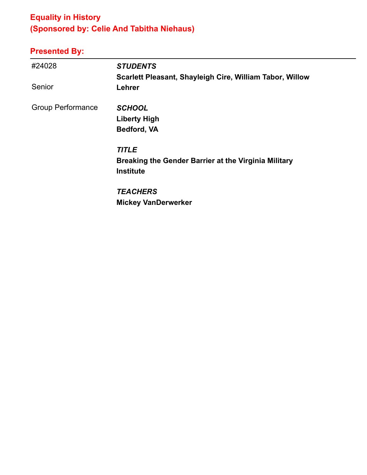# **Equality in History (Sponsored by: Celie And Tabitha Niehaus)**

| #24028                   | <b>STUDENTS</b>                                          |
|--------------------------|----------------------------------------------------------|
|                          | Scarlett Pleasant, Shayleigh Cire, William Tabor, Willow |
| Senior                   | Lehrer                                                   |
| <b>Group Performance</b> | <b>SCHOOL</b>                                            |
|                          | <b>Liberty High</b>                                      |
|                          | Bedford, VA                                              |
|                          | <b>TITLE</b>                                             |
|                          | Breaking the Gender Barrier at the Virginia Military     |
|                          | <b>Institute</b>                                         |
|                          | <b>TEACHERS</b>                                          |
|                          | <b>Mickey VanDerwerker</b>                               |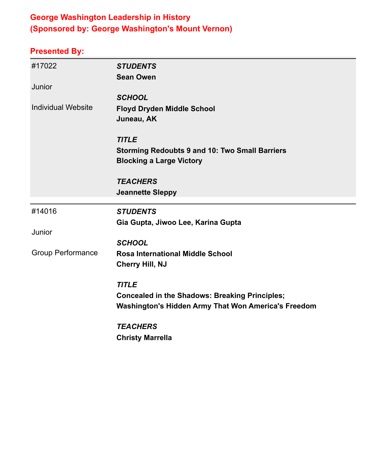## **George Washington Leadership in History (Sponsored by: George Washington's Mount Vernon)**

| #17022                    | <b>STUDENTS</b>                                       |
|---------------------------|-------------------------------------------------------|
|                           | <b>Sean Owen</b>                                      |
| Junior                    |                                                       |
|                           | <b>SCHOOL</b>                                         |
| <b>Individual Website</b> | <b>Floyd Dryden Middle School</b>                     |
|                           | Juneau, AK                                            |
|                           | <b>TITLE</b>                                          |
|                           | <b>Storming Redoubts 9 and 10: Two Small Barriers</b> |
|                           | <b>Blocking a Large Victory</b>                       |
|                           | <b>TEACHERS</b>                                       |
|                           | <b>Jeannette Sleppy</b>                               |
|                           |                                                       |
| #14016                    | <b>STUDENTS</b>                                       |
|                           | Gia Gupta, Jiwoo Lee, Karina Gupta                    |
| Junior                    |                                                       |
|                           | <b>SCHOOL</b>                                         |
| <b>Group Performance</b>  | <b>Rosa International Middle School</b>               |
|                           | <b>Cherry Hill, NJ</b>                                |
|                           | <b>TITLE</b>                                          |
|                           | <b>Concealed in the Shadows: Breaking Principles;</b> |
|                           | Washington's Hidden Army That Won America's Freedom   |
|                           | <b>TEACHERS</b>                                       |
|                           | <b>Christy Marrella</b>                               |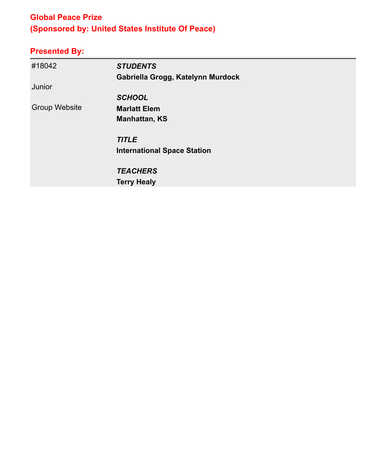## **Global Peace Prize (Sponsored by: United States Institute Of Peace)**

| #18042               | <b>STUDENTS</b>                    |
|----------------------|------------------------------------|
|                      | Gabriella Grogg, Katelynn Murdock  |
| Junior               |                                    |
|                      | <b>SCHOOL</b>                      |
| <b>Group Website</b> | <b>Marlatt Elem</b>                |
|                      | <b>Manhattan, KS</b>               |
|                      | <b>TITLE</b>                       |
|                      | <b>International Space Station</b> |
|                      | <b>TEACHERS</b>                    |
|                      | <b>Terry Healy</b>                 |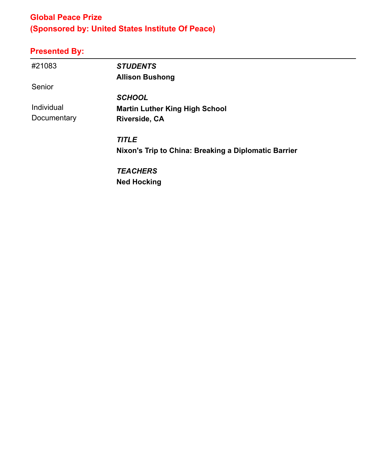## **Global Peace Prize (Sponsored by: United States Institute Of Peace)**

# **Presented By:**

| #21083      | <b>STUDENTS</b>                                      |
|-------------|------------------------------------------------------|
|             | <b>Allison Bushong</b>                               |
| Senior      |                                                      |
|             | <b>SCHOOL</b>                                        |
| Individual  | <b>Martin Luther King High School</b>                |
| Documentary | <b>Riverside, CA</b>                                 |
|             | <b>TITLE</b>                                         |
|             | Nixon's Trip to China: Breaking a Diplomatic Barrier |
|             | <b>TEACHERS</b>                                      |

**Ned Hocking**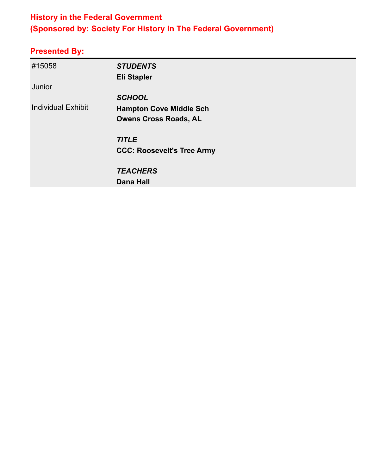## **History in the Federal Government (Sponsored by: Society For History In The Federal Government)**

| #15058                    | <b>STUDENTS</b>                   |
|---------------------------|-----------------------------------|
|                           | <b>Eli Stapler</b>                |
| Junior                    |                                   |
|                           | <b>SCHOOL</b>                     |
| <b>Individual Exhibit</b> | <b>Hampton Cove Middle Sch</b>    |
|                           | <b>Owens Cross Roads, AL</b>      |
|                           | <b>TITLE</b>                      |
|                           | <b>CCC: Roosevelt's Tree Army</b> |
|                           | <b>TEACHERS</b>                   |
|                           | <b>Dana Hall</b>                  |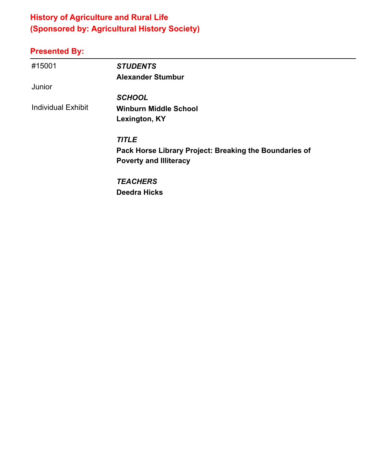# **History of Agriculture and Rural Life (Sponsored by: Agricultural History Society)**

| #15001                    | <b>STUDENTS</b>                                        |
|---------------------------|--------------------------------------------------------|
|                           | <b>Alexander Stumbur</b>                               |
| Junior                    |                                                        |
|                           | <b>SCHOOL</b>                                          |
| <b>Individual Exhibit</b> | <b>Winburn Middle School</b>                           |
|                           | Lexington, KY                                          |
|                           | <b>TITLE</b>                                           |
|                           | Pack Horse Library Project: Breaking the Boundaries of |
|                           | <b>Poverty and Illiteracy</b>                          |
|                           | <b>TEACHERS</b>                                        |
|                           | <b>Deedra Hicks</b>                                    |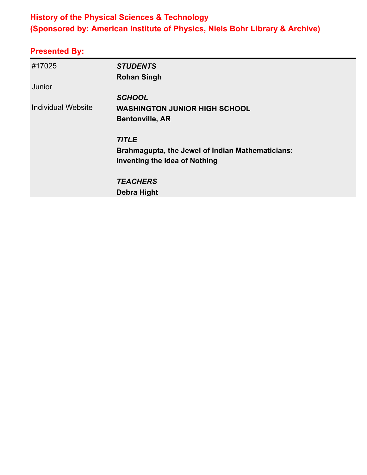## **History of the Physical Sciences & Technology (Sponsored by: American Institute of Physics, Niels Bohr Library & Archive)**

| #17025                    | <b>STUDENTS</b>                                  |
|---------------------------|--------------------------------------------------|
|                           | <b>Rohan Singh</b>                               |
| Junior                    |                                                  |
|                           | <b>SCHOOL</b>                                    |
| <b>Individual Website</b> | <b>WASHINGTON JUNIOR HIGH SCHOOL</b>             |
|                           | <b>Bentonville, AR</b>                           |
|                           | <b>TITLE</b>                                     |
|                           | Brahmagupta, the Jewel of Indian Mathematicians: |
|                           | Inventing the Idea of Nothing                    |
|                           | <b>TEACHERS</b>                                  |
|                           | <b>Debra Hight</b>                               |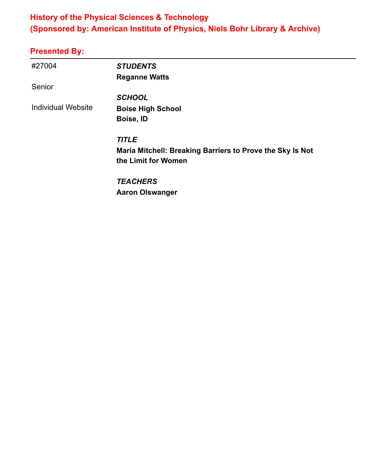## **History of the Physical Sciences & Technology (Sponsored by: American Institute of Physics, Niels Bohr Library & Archive)**

| #27004                    | <b>STUDENTS</b><br><b>Reganne Watts</b>                   |
|---------------------------|-----------------------------------------------------------|
| Senior                    |                                                           |
|                           | <b>SCHOOL</b>                                             |
| <b>Individual Website</b> | <b>Boise High School</b>                                  |
|                           | Boise, ID                                                 |
|                           | <b>TITLE</b>                                              |
|                           | Maria Mitchell: Breaking Barriers to Prove the Sky Is Not |
|                           | the Limit for Women                                       |
|                           | <b>TEACHERS</b>                                           |
|                           | <b>Aaron Olswanger</b>                                    |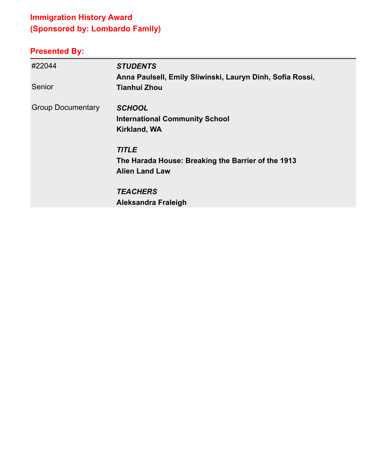# **Immigration History Award (Sponsored by: Lombardo Family)**

| #22044<br>Senior         | <b>STUDENTS</b><br>Anna Paulsell, Emily Sliwinski, Lauryn Dinh, Sofia Rossi,<br><b>Tianhui Zhou</b> |
|--------------------------|-----------------------------------------------------------------------------------------------------|
| <b>Group Documentary</b> | <b>SCHOOL</b><br><b>International Community School</b><br><b>Kirkland, WA</b>                       |
|                          | <b>TITLE</b><br>The Harada House: Breaking the Barrier of the 1913<br><b>Alien Land Law</b>         |
|                          | <b>TEACHERS</b>                                                                                     |
|                          | Aleksandra Fraleigh                                                                                 |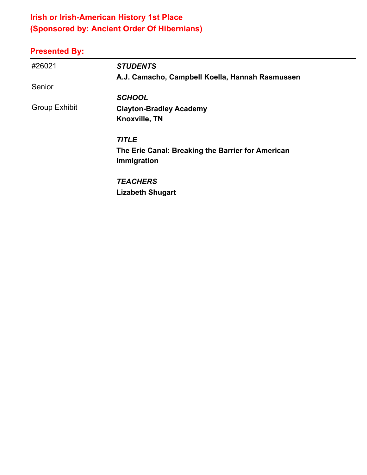# **Irish or Irish-American History 1st Place (Sponsored by: Ancient Order Of Hibernians)**

| #26021               | <b>STUDENTS</b>                                   |
|----------------------|---------------------------------------------------|
|                      | A.J. Camacho, Campbell Koella, Hannah Rasmussen   |
| Senior               |                                                   |
|                      | <b>SCHOOL</b>                                     |
| <b>Group Exhibit</b> | <b>Clayton-Bradley Academy</b>                    |
|                      | Knoxville, TN                                     |
|                      | <b>TITLE</b>                                      |
|                      | The Erie Canal: Breaking the Barrier for American |
|                      | Immigration                                       |
|                      | <b>TEACHERS</b>                                   |
|                      | <b>Lizabeth Shugart</b>                           |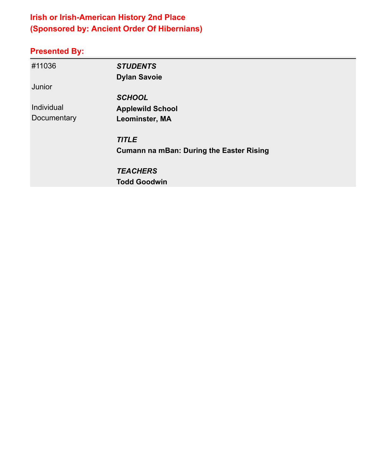# **Irish or Irish-American History 2nd Place (Sponsored by: Ancient Order Of Hibernians)**

| #11036      | <b>STUDENTS</b>                                 |
|-------------|-------------------------------------------------|
|             | <b>Dylan Savoie</b>                             |
| Junior      |                                                 |
|             | <b>SCHOOL</b>                                   |
| Individual  | <b>Applewild School</b>                         |
| Documentary | Leominster, MA                                  |
|             | <b>TITLE</b>                                    |
|             | <b>Cumann na mBan: During the Easter Rising</b> |
|             | <b>TEACHERS</b>                                 |
|             | <b>Todd Goodwin</b>                             |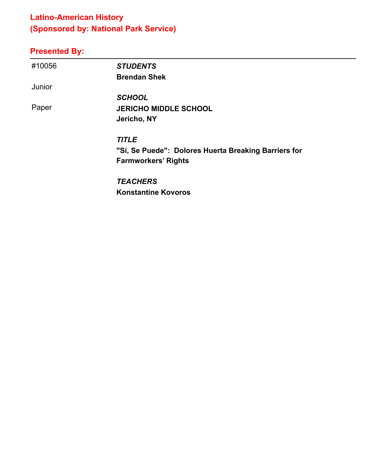## **Latino-American History (Sponsored by: National Park Service)**

# **Presented By:**

| #10056 | <b>STUDENTS</b>                                      |
|--------|------------------------------------------------------|
|        | <b>Brendan Shek</b>                                  |
| Junior |                                                      |
|        | <b>SCHOOL</b>                                        |
| Paper  | <b>JERICHO MIDDLE SCHOOL</b>                         |
|        | Jericho, NY                                          |
|        | <b>TITLE</b>                                         |
|        | "Sí, Se Puede": Dolores Huerta Breaking Barriers for |
|        | <b>Farmworkers' Rights</b>                           |
|        | TE A AUFRO                                           |

*TEACHERS* **Konstantine Kovoros**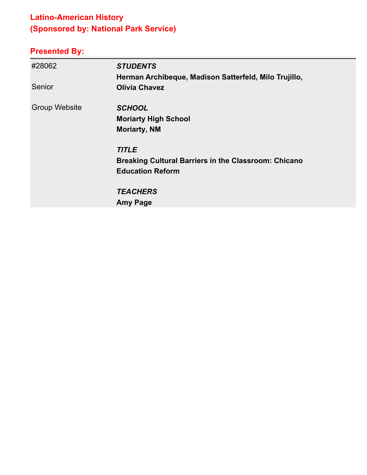# **Latino-American History (Sponsored by: National Park Service)**

| #28062<br>Senior     | <b>STUDENTS</b><br>Herman Archibeque, Madison Satterfeld, Milo Trujillo,<br><b>Olivia Chavez</b> |
|----------------------|--------------------------------------------------------------------------------------------------|
|                      |                                                                                                  |
| <b>Group Website</b> | <b>SCHOOL</b>                                                                                    |
|                      | <b>Moriarty High School</b>                                                                      |
|                      | <b>Moriarty, NM</b>                                                                              |
|                      | <b>TITLE</b>                                                                                     |
|                      | <b>Breaking Cultural Barriers in the Classroom: Chicano</b>                                      |
|                      | <b>Education Reform</b>                                                                          |
|                      | <b>TEACHERS</b>                                                                                  |
|                      | <b>Amy Page</b>                                                                                  |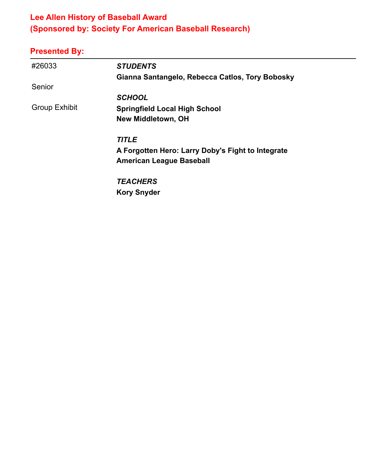# **Lee Allen History of Baseball Award (Sponsored by: Society For American Baseball Research)**

| #26033               | <b>STUDENTS</b>                                   |
|----------------------|---------------------------------------------------|
|                      | Gianna Santangelo, Rebecca Catlos, Tory Bobosky   |
| Senior               |                                                   |
|                      | <b>SCHOOL</b>                                     |
| <b>Group Exhibit</b> | <b>Springfield Local High School</b>              |
|                      | <b>New Middletown, OH</b>                         |
|                      | <b>TITLE</b>                                      |
|                      | A Forgotten Hero: Larry Doby's Fight to Integrate |
|                      | <b>American League Baseball</b>                   |
|                      | <b>TEACHERS</b>                                   |
|                      | <b>Kory Snyder</b>                                |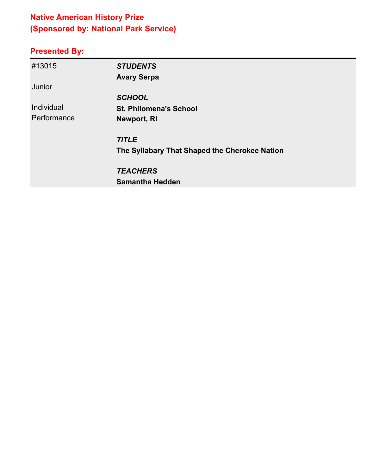# **Native American History Prize (Sponsored by: National Park Service)**

| #13015      | <b>STUDENTS</b>                               |
|-------------|-----------------------------------------------|
|             | <b>Avary Serpa</b>                            |
| Junior      |                                               |
|             | <b>SCHOOL</b>                                 |
| Individual  | <b>St. Philomena's School</b>                 |
| Performance | Newport, RI                                   |
|             | <b>TITLE</b>                                  |
|             | The Syllabary That Shaped the Cherokee Nation |
|             | <b>TEACHERS</b>                               |
|             | <b>Samantha Hedden</b>                        |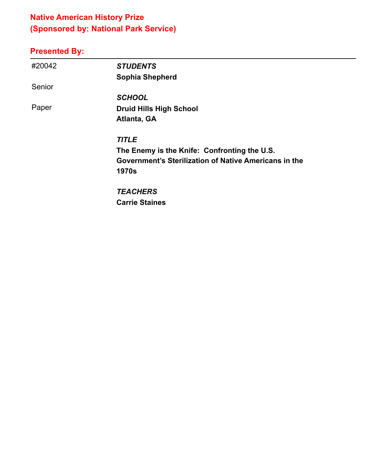# **Native American History Prize (Sponsored by: National Park Service)**

# **Presented By:**

| #20042 | <b>STUDENTS</b>                                       |
|--------|-------------------------------------------------------|
|        | <b>Sophia Shepherd</b>                                |
| Senior |                                                       |
|        | <b>SCHOOL</b>                                         |
| Paper  | <b>Druid Hills High School</b>                        |
|        | Atlanta, GA                                           |
|        | <b>TITLE</b>                                          |
|        | The Enemy is the Knife: Confronting the U.S.          |
|        | Government's Sterilization of Native Americans in the |
|        | <b>1970s</b>                                          |
|        | <b>TEACHERS</b>                                       |

**Carrie Staines**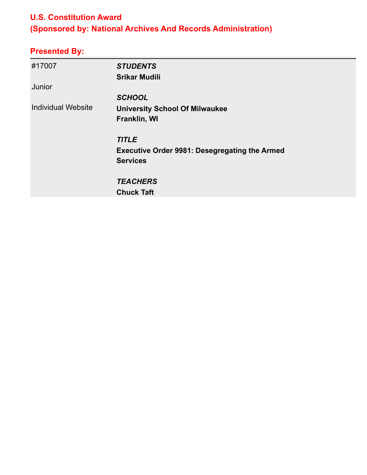#### **U.S. Constitution Award**

# **(Sponsored by: National Archives And Records Administration)**

| #17007                    | <b>STUDENTS</b>                                      |
|---------------------------|------------------------------------------------------|
|                           | <b>Srikar Mudili</b>                                 |
| Junior                    |                                                      |
|                           | <b>SCHOOL</b>                                        |
| <b>Individual Website</b> | <b>University School Of Milwaukee</b>                |
|                           | Franklin, WI                                         |
|                           |                                                      |
|                           | <b>TITLE</b>                                         |
|                           | <b>Executive Order 9981: Desegregating the Armed</b> |
|                           | <b>Services</b>                                      |
|                           |                                                      |
|                           | <b>TEACHERS</b>                                      |
|                           | <b>Chuck Taft</b>                                    |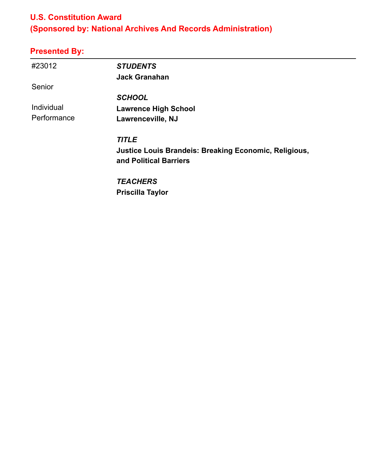#### **U.S. Constitution Award**

# **(Sponsored by: National Archives And Records Administration)**

| #23012      | <b>STUDENTS</b>                                              |
|-------------|--------------------------------------------------------------|
|             | <b>Jack Granahan</b>                                         |
| Senior      |                                                              |
|             | <b>SCHOOL</b>                                                |
| Individual  | <b>Lawrence High School</b>                                  |
| Performance | Lawrenceville, NJ                                            |
|             | <b>TITLE</b>                                                 |
|             | <b>Justice Louis Brandeis: Breaking Economic, Religious,</b> |
|             | and Political Barriers                                       |
|             | <b>TEACHERS</b>                                              |
|             | <b>Priscilla Taylor</b>                                      |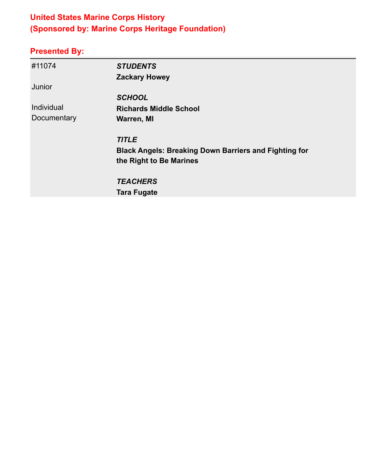## **United States Marine Corps History (Sponsored by: Marine Corps Heritage Foundation)**

| #11074      | <b>STUDENTS</b>                                              |
|-------------|--------------------------------------------------------------|
|             | <b>Zackary Howey</b>                                         |
| Junior      |                                                              |
|             | <b>SCHOOL</b>                                                |
| Individual  | <b>Richards Middle School</b>                                |
| Documentary | <b>Warren, MI</b>                                            |
|             | <b>TITLE</b>                                                 |
|             | <b>Black Angels: Breaking Down Barriers and Fighting for</b> |
|             | the Right to Be Marines                                      |
|             | <b>TEACHERS</b>                                              |
|             | <b>Tara Fugate</b>                                           |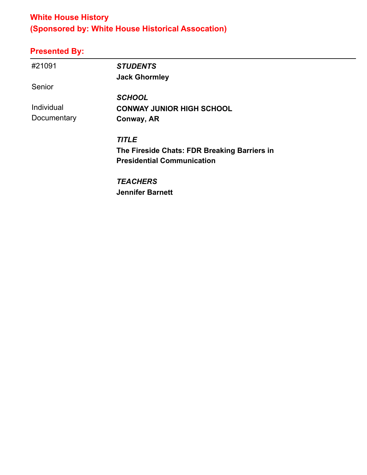## **White House History (Sponsored by: White House Historical Assocation)**

# **Presented By:**

| #21091      | <b>STUDENTS</b>                              |
|-------------|----------------------------------------------|
|             | <b>Jack Ghormley</b>                         |
| Senior      |                                              |
|             | <b>SCHOOL</b>                                |
| Individual  | <b>CONWAY JUNIOR HIGH SCHOOL</b>             |
| Documentary | Conway, AR                                   |
|             | <b>TITLE</b>                                 |
|             | The Fireside Chats: FDR Breaking Barriers in |
|             | <b>Presidential Communication</b>            |
|             | <b>TEACHERS</b>                              |

**Jennifer Barnett**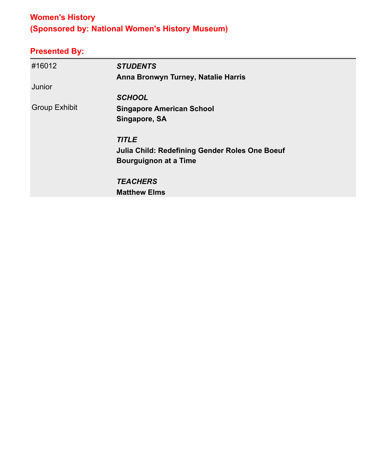# **Women's History (Sponsored by: National Women's History Museum)**

| #16012               | <b>STUDENTS</b>                                       |
|----------------------|-------------------------------------------------------|
|                      | Anna Bronwyn Turney, Natalie Harris                   |
| Junior               |                                                       |
|                      | <b>SCHOOL</b>                                         |
| <b>Group Exhibit</b> | <b>Singapore American School</b>                      |
|                      | Singapore, SA                                         |
|                      | <b>TITLE</b>                                          |
|                      | <b>Julia Child: Redefining Gender Roles One Boeuf</b> |
|                      | <b>Bourguignon at a Time</b>                          |
|                      | <b>TEACHERS</b>                                       |
|                      | <b>Matthew Elms</b>                                   |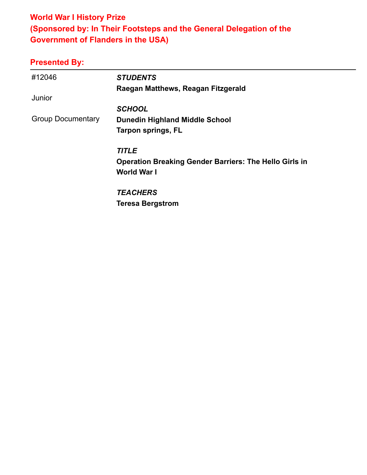## **World War I History Prize (Sponsored by: In Their Footsteps and the General Delegation of the Government of Flanders in the USA)**

| #12046                   | <b>STUDENTS</b><br>Raegan Matthews, Reagan Fitzgerald                               |
|--------------------------|-------------------------------------------------------------------------------------|
| Junior                   |                                                                                     |
|                          | <b>SCHOOL</b>                                                                       |
| <b>Group Documentary</b> | <b>Dunedin Highland Middle School</b>                                               |
|                          | <b>Tarpon springs, FL</b>                                                           |
|                          | <b>TITLE</b>                                                                        |
|                          | <b>Operation Breaking Gender Barriers: The Hello Girls in</b><br><b>World War I</b> |
|                          | <b>TEACHERS</b>                                                                     |
|                          | <b>Teresa Bergstrom</b>                                                             |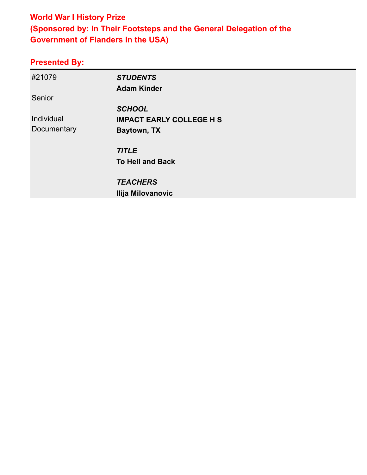## **World War I History Prize (Sponsored by: In Their Footsteps and the General Delegation of the Government of Flanders in the USA)**

| <b>STUDENTS</b>                 |
|---------------------------------|
| <b>Adam Kinder</b>              |
|                                 |
| <b>SCHOOL</b>                   |
| <b>IMPACT EARLY COLLEGE H S</b> |
| Baytown, TX                     |
|                                 |
| <b>TITLE</b>                    |
| <b>To Hell and Back</b>         |
| <b>TEACHERS</b>                 |
| Ilija Milovanovic               |
|                                 |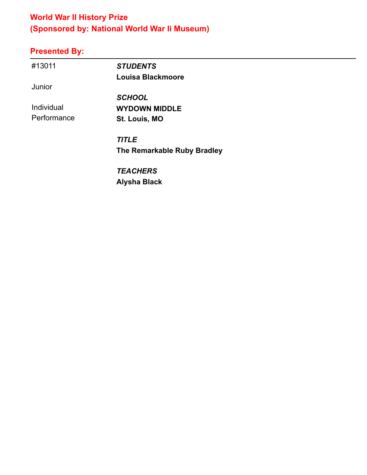# **World War II History Prize (Sponsored by: National World War Ii Museum)**

# **Presented By:**

| #13011      | <b>STUDENTS</b>             |  |
|-------------|-----------------------------|--|
|             | Louisa Blackmoore           |  |
| Junior      |                             |  |
|             | <b>SCHOOL</b>               |  |
| Individual  | <b>WYDOWN MIDDLE</b>        |  |
| Performance | St. Louis, MO               |  |
|             | <b>TITLE</b>                |  |
|             | The Remarkable Ruby Bradley |  |
|             | <b>TEACHERS</b>             |  |

**Alysha Black**